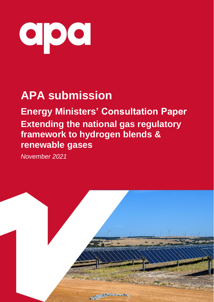

# **APA submission**

**Energy Ministers' Consultation Paper Extending the national gas regulatory framework to hydrogen blends & renewable gases**

*November 2021*

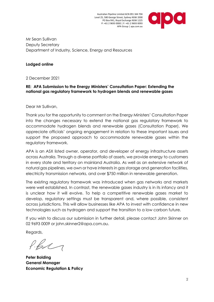Australian Pipeline Limited ACN 091 344 704 Level 25, 580 George Street, Sydney NSW 2000 PO Box R41, Royal Exchange NSW 1225 P: +61 2 9693 0000 | F: +61 2 9693 0093 APA Group | apa.com.au



Mr Sean Sullivan Deputy Secretary Department of Industry, Science, Energy and Resources

#### **Lodged online**

2 December 2021

#### **RE: APA Submission to the Energy Ministers' Consultation Paper: Extending the national gas regulatory framework to hydrogen blends and renewable gases**

Dear Mr Sullivan,

Thank you for the opportunity to comment on the Energy Ministers' Consultation Paper into the changes necessary to extend the national gas regulatory framework to accommodate hydrogen blends and renewable gases (Consultation Paper). We appreciate officials' ongoing engagement in relation to these important issues and support the proposed approach to accommodate renewable gases within the regulatory framework.

APA is an ASX listed owner, operator, and developer of energy infrastructure assets across Australia. Through a diverse portfolio of assets, we provide energy to customers in every state and territory on mainland Australia. As well as an extensive network of natural gas pipelines, we own or have interests in gas storage and generation facilities, electricity transmission networks, and over \$750 million in renewable generation.

The existing regulatory framework was introduced when gas networks and markets were well established. In contrast, the renewable gases industry is in its infancy and it is unclear how it will evolve. To help a competitive renewable gases market to develop, regulatory settings must be transparent and, where possible, consistent across jurisdictions. This will allow businesses like APA to invest with confidence in new technologies such as hydrogen and support the transition to a low carbon future.

If you wish to discuss our submission in further detail, please contact John Skinner on 02 9693 0009 or john.skinner2@apa.com.au.

Regards,

 $f.\beta\land\gamma$ 

**Peter Bolding General Manager Economic Regulation & Policy**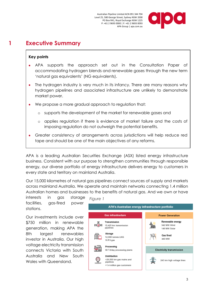

# **1 Executive Summary**

#### **Key points**

- APA supports the approach set out in the Consultation Paper of accommodating hydrogen blends and renewable gases through the new term 'natural gas equivalents' (NG equivalents).
- The hydrogen industry is very much in its infancy. There are many reasons why hydrogen pipelines and associated infrastructure are unlikely to demonstrate market power.
- We propose a more gradual approach to regulation that:
	- o supports the development of the market for renewable gases and
	- o applies regulation if there is evidence of market failure and the costs of imposing regulation do not outweigh the potential benefits.
- Greater consistency of arrangements across jurisdictions will help reduce red tape and should be one of the main objectives of any reforms.

APA is a leading Australian Securities Exchange (ASX) listed energy infrastructure business. Consistent with our purpose to strengthen communities through responsible energy, our diverse portfolio of energy infrastructure delivers energy to customers in every state and territory on mainland Australia.

Our 15,000 kilometres of natural gas pipelines connect sources of supply and markets across mainland Australia. We operate and maintain networks connecting 1.4 million Australian homes and businesses to the benefits of natural gas. And we own or have

interests in gas storage facilities, aas-fired power stations.

Our investments include over \$750 million in renewable generation, making APA the 8th largest renewables investor in Australia. Our high voltage electricity transmission connects Victoria with South Australia and New South Wales with Queensland.

*Figure 1*APA's Australian energy infrastructure portfolio **Gas infrastructure Power Generation** Renewable energy Transmission ஈனே 342 MW Wind 15,425 km transmission **FEED** pipelines 149 MW Solar Storage **Gas fired** 12,000 tonnes LNG 440 MW 18 PJ gas Processing **Electricity transmission** 90 TJ/day processing plants Distribution >29,500 km gas mains and 243 km high voltage lines pipelines >1.4 million gas customers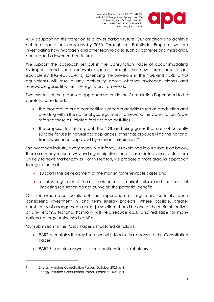

APA is supporting the transition to a lower carbon future. Our ambition is to achieve net zero operations emissions by 2050. Through our Pathfinder Program, we are investigating how hydrogen and other technologies such as batteries and microgrids, can support a lower carbon future.

We support the approach set out in the Consultation Paper of accommodating hydrogen blends and renewable gases through the new term 'natural gas equivalents' (NG equivalents). Extending the provisions in the NGL and NERL to NG equivalents will resolve any ambiguity about whether hydrogen blends and renewable gases fit within the regulatory framework.

Two aspects of the proposed approach set out in the Consultation Paper need to be carefully considered:

- the proposal to bring competitive upstream activities such as production and blending within the national gas regulatory framework. The Consultation Paper refers to these as 'related facilities and activities. 1
- the proposal to 'future proof' the NGL and bring gases that are not currently suitable for use in natural gas appliances (other gas products) into the national framework once approved by relevant jurisdictions.<sup>2</sup>

The hydrogen industry is very much in its infancy. As explained in our submission below, there are many reasons why hydrogen pipelines and its associated infrastructure are unlikely to have market power. For this reason, we propose a more gradual approach to regulation that:

- supports the development of the market for renewable gases and
- applies regulation if there is evidence of market failure and the costs of imposing regulation do not outweigh the potential benefits.

Our submission also points out the importance of regulatory certainty when considering investment in long term energy projects. Where possible, greater consistency of arrangements across jurisdictions should be one of the main objectives of any reforms. National harmony will help reduce costs and red tape for many national energy businesses like APA.

Our submission to the Policy Paper is structured as follows:

- PART A contains the key issues we wish to raise in response to the Consultation Paper
- PART B contains answers to the questions for stakeholders.

<sup>&</sup>lt;sup>1</sup> Energy Ministers Consultation Paper, October 2021, pviii

<sup>2</sup> Energy Ministers Consultation Paper, October 2021, p30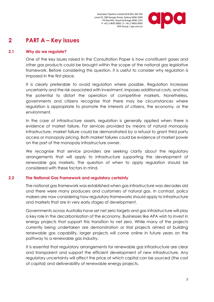

# **2 PART A – Key issues**

#### **2.1 Why do we regulate?**

One of the key issues raised in the Consultation Paper is how constituent gases and other gas products could be brought within the scope of the national gas legislative framework. Before considering this question, it is useful to consider why regulation is imposed in the first place.

It is clearly preferable to avoid regulation where possible. Regulation increases uncertainty and the risk associated with investment, imposes additional costs, and has the potential to distort the operation of competitive markets. Nonetheless, governments and citizens recognise that there may be circumstances where regulation is appropriate to promote the interests of citizens, the economy, or the environment.

In the case of infrastructure assets, regulation is generally applied when there is evidence of market failure. For services provided by means of natural monopoly infrastructure, market failure could be demonstrated by a refusal to grant third party access or monopoly pricing. Both market failures could be evidence of market power on the part of the monopoly infrastructure owner.

We recognise that service providers are seeking clarity about the regulatory arrangements that will apply to infrastructure supporting the development of renewable gas markets. The question of when to apply regulation should be considered with these factors in mind.

#### **2.2 The National Gas Framework and regulatory certainty**

The national gas framework was established when gas infrastructure was decades old and there were many producers and customers of natural gas. In contrast, policy makers are now considering how regulatory frameworks should apply to infrastructure and markets that are in very early stages of development.

Governments across Australia have set net zero targets and gas infrastructure will play a key role in the decarbonisation of the economy. Businesses like APA wish to invest in energy projects that support this transition to net zero. While many of the projects currently being undertaken are demonstration or trial projects aimed at building renewable gas capability, larger projects will come online in future years on the pathway to a renewable gas industry.

It is essential that regulatory arrangements for renewable gas infrastructure are clear and transparent and support the efficient development of new infrastructure. Any regulatory uncertainty will affect the price at which capital can be sourced (the cost of capital) and deliverability of renewable energy projects.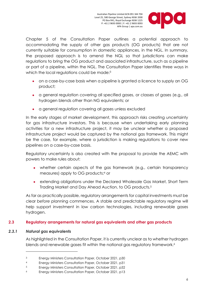

Chapter 5 of the Consultation Paper outlines a potential approach to accommodating the supply of other gas products (OG products) that are not currently suitable for consumption in domestic appliances, in the NGL. In summary, the proposed approach is to amend the NGL so that jurisdictions can make regulations to bring the OG product and associated infrastructure, such as a pipeline or part of a pipeline, within the NGL. The Consultation Paper identifies three ways in which the local regulations could be made:<sup>3</sup>

- on a case-by-case basis when a pipeline is granted a licence to supply an OG product;
- a general regulation covering all specified gases, or classes of gases (e.g., all hydrogen blends other than NG equivalents; or
- a general regulation covering all gases unless excluded

In the early stages of market development, this approach risks creating uncertainty for gas infrastructure investors. This is because when undertaking early planning activities for a new infrastructure project, it may be unclear whether a proposed infrastructure project would be captured by the national gas framework. This might be the case, for example, where a jurisdiction is making regulations to cover new pipelines on a case-by-case basis.

Regulatory uncertainty is also created with the proposal to provide the AEMC with powers to make rules about:

- whether certain aspects of the gas framework (e.g., certain transparency measures) apply to OG products; <sup>4</sup> or
- extending obligations under the Declared Wholesale Gas Market, Short Term Trading Market and Day Ahead Auction, to OG products.<sup>5</sup>

As far as practically possible, regulatory arrangements for capital investments must be clear *before* planning commences. A stable and predictable regulatory regime will help support investment in low carbon technologies, including renewable gases hydrogen.

#### **2.3 Regulatory arrangements for natural gas equivalents and other gas products**

#### *2.3.1 Natural gas equivalents*

As highlighted in the Consultation Paper, it is currently unclear as to whether hydrogen blends and renewable gases fit within the national gas regulatory framework.<sup>6</sup>

<sup>3</sup> Energy Ministers Consultation Paper, October 2021, p30

<sup>4</sup> Energy Ministers Consultation Paper, October 2021, p31

<sup>5</sup> Energy Ministers Consultation Paper, October 2021, p32

<sup>6</sup> Energy Ministers Consultation Paper, October 2021, p13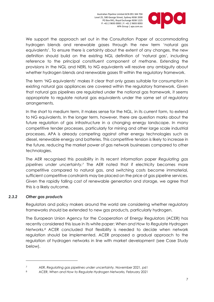

We support the approach set out in the Consultation Paper of accommodating hydrogen blends and renewable gases through the new term 'natural gas equivalents'. To ensure there is certainty about the extent of any changes, the new definition should build on the existing NGL definition of 'natural gas', including reference to the principal constituent component of methane. Extending the provisions in the NGL and NERL to NG equivalents will resolve any ambiguity about whether hydrogen blends and renewable gases fit within the regulatory framework.

The term 'NG equivalents' makes it clear that only gases suitable for consumption in existing natural gas appliances are covered within the regulatory framework. Given that natural gas pipelines are regulated under the national gas framework, it seems appropriate to regulate natural gas equivalents under the same set of regulatory arrangements.

In the short to medium term, it makes sense for the NGL, in its current form, to extend to NG equivalents. In the longer term, however, there are question marks about the future regulation of gas infrastructure in a changing energy landscape. In many competitive tender processes, particularly for mining and other large scale industrial processes, APA is already competing against other energy technologies such as diesel, renewable energy and batteries. This competitive tension is likely to increase in the future, reducing the market power of gas network businesses compared to other technologies.

The AER recognised this possibility in its recent information paper *Regulating gas pipelines under uncertainty.<sup>7</sup>* The AER noted that if electricity becomes more competitive compared to natural gas, and switching costs become immaterial, sufficient competitive constraints may be placed on the price of gas pipeline services. Given the rapidly falling cost of renewable generation and storage, we agree that this is a likely outcome.

#### *2.3.2 Other gas products*

Regulators and policy makers around the world are considering whether regulatory frameworks should be extended to new gas products, particularly hydrogen.

The European Union Agency for the Cooperation of Energy Regulators (ACER) has recently considered this issue in its white paper: *When and How to Regulate Hydrogen Networks.<sup>8</sup>* ACER concluded that flexibility is needed to decide when network regulation should be implemented. ACER proposed a gradual approach to the regulation of hydrogen networks in line with market development (see Case Study below).

<sup>7</sup> AER, *Regulating gas pipelines under uncertainty,* November 2021, p61

<sup>8</sup> ACER, *When and How to Regulate Hydrogen Networks,* February 2021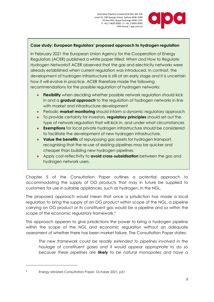

#### **Case study: European Regulators' proposed approach to hydrogen regulation**

In February 2021 the European Union Agency for the Cooperation of Energy Regulators (ACER) published a white paper titled: *When and How to Regulate Hydrogen Networks?* ACER observed that the gas and electricity networks were already established when current regulation was introduced. In contrast, the development of hydrogen infrastructure is still at an early stage and it is uncertain how it will evolve in practice. ACER therefore made the following recommendations for the possible regulation of hydrogen networks:

- **Flexibility** when deciding whether possible network regulation should kick in and a **gradual approach** to the regulation of hydrogen networks in line with market and infrastructure development
- Periodic **market monitoring** should inform a dynamic regulatory approach
- To provide certainty for investors, **regulatory principles** should set out the type of network regulation that will kick in, and under what circumstances
- **Exemptions** for local private hydrogen infrastructure should be considered to facilitate the development of new hydrogen infrastructure.
- **Value the benefits** of repurposing gas assets for hydrogen transport, recognising that the re-use of existing pipelines may be quicker and cheaper than building new hydrogen pipelines
- Apply cost-reflectivity to **avoid cross-subsidisation** between the gas and hydrogen network users.

Chapter 5 of the Consultation Paper outlines a potential approach to accommodating the supply of OG products that may in future be supplied to customers for use in suitable appliances, such as hydrogen, in the NGL.

The proposed approach would mean that once a jurisdiction has made a local regulation to bring the supply of an OG product within scope of the NGL, a pipeline carrying an OG product or its constituent gas would be a pipeline and so within the scope of the economic regulatory framework.<sup>9</sup>

This approach appears to give jurisdictions the power to bring a hydrogen pipeline within the scope of the NGL and economic regulation without an adequate assessment of whether there has been market failure. The Consultation Paper states:

*The new framework could be readily extended to pipelines involved in the haulage of constituent gases and it would appear appropriate to do so because these pipelines are likely to be natural monopolies and have a* 

<sup>9</sup> Energy Ministers Consultation Paper, October 2021, p31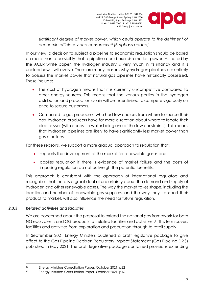

*significant degree of market power, which could operate to the detriment of economic efficiency and consumers.<sup>10</sup> [Emphasis added]*

Australian Pipeline Limited ACN 091 344 704 Level 25, 580 George Street, Sydney NSW 2000 PO Box R41, Royal Exchange NSW 1225 P: +61 2 9693 0000 | F: +61 2 9693 0093

APA Group | apa.com.au

In our view, a decision to subject a pipeline to economic regulation should be based on more than a possibility that a pipeline could exercise market power. As noted by the ACER white paper, the hydrogen industry is very much in its infancy and it is unclear how it will evolve. There are many reasons why hydrogen pipelines are unlikely to possess the market power that natural gas pipelines have historically possessed. These include:

- The cost of hydrogen means that it is currently uncompetitive compared to other energy sources. This means that the various parties in the hydrogen distribution and production chain will be incentivised to compete vigorously on price to secure customers.
- Compared to gas producers, who had few choices from where to source their gas, hydrogen producers have far more discretion about where to locate their electrolyser (with access to water being one of the few constraints). This means that hydrogen pipelines are likely to have significantly less market power than gas pipelines.

For these reasons, we support a more gradual approach to regulation that:

- supports the development of the market for renewable gases and
- applies regulation if there is evidence of market failure and the costs of imposing regulation do not outweigh the potential benefits.

This approach is consistent with the approach of international regulators and recognises that there is a great deal of uncertainty about the demand and supply of hydrogen and other renewable gases. The way the market takes shape, including the location and number of renewable gas suppliers, and the way they transport their product to market, will also influence the need for future regulation.

#### *2.3.3 Related activities and facilities*

We are concerned about the proposal to extend the national gas framework for both NG equivalents and OG products to 'related facilities and activities'.<sup>11</sup> This term covers facilities and activities from exploration and production through to retail supply.

In September 2021 Energy Ministers published a draft legislative package to give effect to the Gas Pipeline Decision Regulatory Impact Statement (Gas Pipeline DRIS) published in May 2021. The draft legislative package contained provisions extending

<sup>10</sup> Energy Ministers Consultation Paper, October 2021, p22

<sup>11</sup> Energy Ministers Consultation Paper, October 2021, p16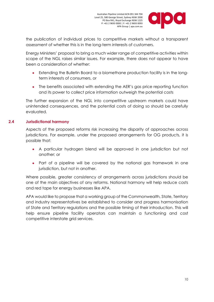

the publication of individual prices to competitive markets without a transparent assessment of whether this is in the long-term interests of customers.

Energy Ministers' proposal to bring a much wider range of competitive activities within scope of the NGL raises similar issues. For example, there does not appear to have been a consideration of whether:

- Extending the Bulletin Board to a biomethane production facility is in the longterm interests of consumers, or
- The benefits associated with extending the AER's gas price reporting function and its power to collect price information outweigh the potential costs

The further expansion of the NGL into competitive upstream markets could have unintended consequences, and the potential costs of doing so should be carefully evaluated.

#### **2.4 Jurisdictional harmony**

Aspects of the proposed reforms risk increasing the disparity of approaches across jurisdictions. For example, under the proposed arrangements for OG products, it is possible that:

- A particular hydrogen blend will be approved in one jurisdiction but not another; or
- Part of a pipeline will be covered by the national gas framework in one jurisdiction, but not in another.

Where possible, greater consistency of arrangements across jurisdictions should be one of the main objectives of any reforms. National harmony will help reduce costs and red tape for energy businesses like APA.

APA would like to propose that a working group of the Commonwealth, State, Territory and industry representatives be established to consider and progress harmonisation of State and Territory regulations and the possible timing of their introduction. This will help ensure pipeline facility operators can maintain a functioning and cost competitive interstate grid services.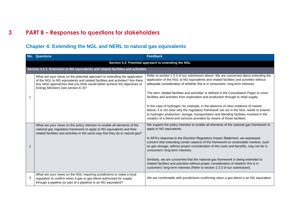# **3 PART B – Responses to questions for stakeholders**

### **Chapter 4: Extending the NGL and NERL to natural gas equivalents**

| No. | <b>Questions</b>                                                                                                                                                                                                                                                                 | <b>Feedback</b>                                                                                                                                                                                                                                                                                                                                                                                                                                                                                                                                                                                                                                                                  |
|-----|----------------------------------------------------------------------------------------------------------------------------------------------------------------------------------------------------------------------------------------------------------------------------------|----------------------------------------------------------------------------------------------------------------------------------------------------------------------------------------------------------------------------------------------------------------------------------------------------------------------------------------------------------------------------------------------------------------------------------------------------------------------------------------------------------------------------------------------------------------------------------------------------------------------------------------------------------------------------------|
|     |                                                                                                                                                                                                                                                                                  | Section 4.3: Potential approach to extending the NGL                                                                                                                                                                                                                                                                                                                                                                                                                                                                                                                                                                                                                             |
|     | Section 4.2.1: Extension to NG equivalents and related facilities and activities                                                                                                                                                                                                 |                                                                                                                                                                                                                                                                                                                                                                                                                                                                                                                                                                                                                                                                                  |
|     | What are your views on the potential approach to extending the application<br>of the NGL to NG equivalents and related facilities and activities? Are there<br>any other approaches that you think would better achieve the objectives of<br>Energy Ministers (see section E.3)? | Refer to section 2.3.3 of our submission above. We are concerned about extending the<br>application of the NGL to NG equivalents and related facilities and activities without<br>adequate consideration of whether this is in consumers' long-term interests.<br>The term 'related facilities and activities' is defined in the Consultation Paper to cover<br>facilities and activities from exploration and production through to retail supply.<br>In the case of hydrogen, for example, in the absence of clear evidence of market<br>failure, it is not clear why the regulatory framework set out in the NGL needs to extend                                              |
|     |                                                                                                                                                                                                                                                                                  | to hydrogen production, storage, transportation and blending facilities involved in the<br>creation of a blend and services provided by means of those facilities.                                                                                                                                                                                                                                                                                                                                                                                                                                                                                                               |
| 2   | What are your views on the policy intention to enable all elements of the<br>national gas regulatory framework to apply to NG equivalents and their<br>related facilities and activities in the same way that they do to natural gas?                                            | We support the policy intention to enable all elements of the national gas framework to<br>apply to NG equivalents.<br>In APA's response to the Decision Regulatory Impact Statement, we expressed<br>concern that extending certain aspects of the framework to contestable markets, such<br>as gas storage, without proper consideration of the costs and benefits, may not be in<br>consumers' long-term interests.<br>Similarly, we are concerned that the national gas framework is being extended to<br>related facilities and activities without proper consideration of whether this is in<br>customers' long-term interests (Refer to section 2.3.3 of our submission). |
| 3   | What are your views on the NGL requiring jurisdictions to make a local<br>regulation to confirm when a gas or gas blend authorised for supply<br>through a pipeline (or part of a pipeline) is an NG equivalent?                                                                 | We are comfortable with jurisdictions confirming when a gas blend is an NG equivalent.                                                                                                                                                                                                                                                                                                                                                                                                                                                                                                                                                                                           |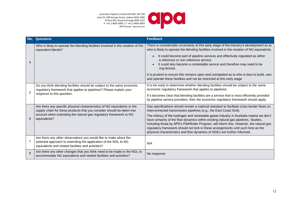Australian Pipeline Limited ACN 091 344 7 Level 25, 580 George Street, Sydney NSW 20 PO Box R41, Royal Exchange NSW 1225 P: +61 2 9693 0000 | F: +61 2 9693 0093 APA Group | apa.com.

| 704<br>000<br>225<br>)93<br>.au |  |  |
|---------------------------------|--|--|
|                                 |  |  |

| No. | Questions                                                                                                                                                                                   | <b>Feedback</b>                                                                                                                                                                                                                                                                                                                                                                                                                         |
|-----|---------------------------------------------------------------------------------------------------------------------------------------------------------------------------------------------|-----------------------------------------------------------------------------------------------------------------------------------------------------------------------------------------------------------------------------------------------------------------------------------------------------------------------------------------------------------------------------------------------------------------------------------------|
| 4   | Who is likely to operate the blending facilities involved in the creation of NG<br>equivalent blends?                                                                                       | There is considerable uncertainty at this early stage of the industry's development as to<br>who is likely to operate the blending facilities involved in the creation of NG equivalents.                                                                                                                                                                                                                                               |
|     |                                                                                                                                                                                             | It could become part of pipeline services and effectively regulated as either<br>$\bullet$<br>a reference or non-reference service.<br>It could also become a contestable service and therefore may need to be<br>$\bullet$<br>ring fenced.                                                                                                                                                                                             |
|     |                                                                                                                                                                                             | It is prudent to ensure this remains open and unimpeded as to who is best to build, own<br>and operate these facilities and not be restricted at this early stage.                                                                                                                                                                                                                                                                      |
| 5   | Do you think blending facilities should be subject to the same economic<br>regulatory framework that applies to pipelines? Please explain your                                              | It is too early to determine whether blending facilities should be subject to the same<br>economic regulatory framework that applies to pipelines.                                                                                                                                                                                                                                                                                      |
|     | response to this question.                                                                                                                                                                  | If it becomes clear that blending facilities are a service that is most efficiently provided<br>by pipeline service providers, then the economic regulatory framework should apply.                                                                                                                                                                                                                                                     |
| 6   | Are there any specific physical characteristics of NG equivalents or the<br>supply chain for these products that you consider should be taken into                                          | Gas specifications should remain a national standard to facilitate cross border flows on<br>interconnected transmission pipelines (e.g., the East Coast Grid).                                                                                                                                                                                                                                                                          |
|     | account when extending the natural gas regulatory framework to NG<br>equivalents?                                                                                                           | The infancy of the hydrogen and renewable gases industry in Australia means we don't<br>have certainty of the flow dynamics within existing natural gas pipelines. Studies,<br>including those by APA's Pathfinder Program, will inform this. However, the natural gas<br>regulatory framework should not lock in these arrangements until such time as the<br>physical characteristics and flow dynamics of NGEs are further informed. |
| 7   | Are there any other observations you would like to make about the<br>potential approach to extending the application of the NGL to NG<br>equivalents and related facilities and activities? | N/A                                                                                                                                                                                                                                                                                                                                                                                                                                     |
| 8   | Are there any other changes that you think need to be made to the NGL to<br>accommodate NG equivalents and related facilities and activities?                                               | No response                                                                                                                                                                                                                                                                                                                                                                                                                             |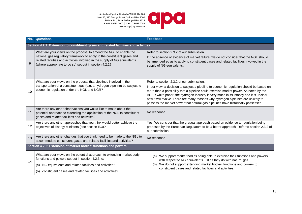Australian Pipeline Limited ACN 091 344 704 Level 25, 580 George Street, Sydney NSW 2000 PO Box R41, Royal Exchange NSW 1225 P: +61 2 9693 0000 | F: +61 2 9693 0093 APA Group | apa.com.au



| No. | <b>Questions</b>                                                                                                                                                                                                                                                                      | <b>Feedback</b>                                                                                                                                                                                                                                                                                                                                                                                                                                                                                |  |  |
|-----|---------------------------------------------------------------------------------------------------------------------------------------------------------------------------------------------------------------------------------------------------------------------------------------|------------------------------------------------------------------------------------------------------------------------------------------------------------------------------------------------------------------------------------------------------------------------------------------------------------------------------------------------------------------------------------------------------------------------------------------------------------------------------------------------|--|--|
|     | Section 4.2.2: Extension to constituent gases and related facilities and activities                                                                                                                                                                                                   |                                                                                                                                                                                                                                                                                                                                                                                                                                                                                                |  |  |
| 9   | What are your views on the proposal to amend the NGL to enable the<br>national gas regulatory framework to apply to the constituent gases and<br>related facilities and activities involved in the supply of NG equivalents<br>(where appropriate to do so) set out in section 4.2.2? | Refer to section 2.3.2 of our submission.<br>In the absence of evidence of market failure, we do not consider that the NGL should<br>be amended so as to apply to constituent gases and related facilities involved in the<br>supply of NG equivalents.                                                                                                                                                                                                                                        |  |  |
| 10  | What are your views on the proposal that pipelines involved in the<br>transportation of a constituent gas (e.g. a hydrogen pipeline) be subject to<br>economic regulation under the NGL and NGR?                                                                                      | Refer to section 2.3.2 of our submission.<br>In our view, a decision to subject a pipeline to economic regulation should be based on<br>more than a possibility that a pipeline could exercise market power. As noted by the<br>ACER white paper, the hydrogen industry is very much in its infancy and it is unclear<br>how it will evolve. There are many reasons why hydrogen pipelines are unlikely to<br>possess the market power that natural gas pipelines have historically possessed. |  |  |
| 11  | Are there any other observations you would like to make about the<br>potential approach to extending the application of the NGL to constituent<br>gases and related facilities and activities?                                                                                        | No response                                                                                                                                                                                                                                                                                                                                                                                                                                                                                    |  |  |
| 12  | Are there any other approaches that you think would better achieve the<br>objectives of Energy Ministers (see section E.3)?                                                                                                                                                           | Yes. We consider that the gradual approach based on evidence to regulation being<br>proposed by the European Regulators to be a better approach. Refer to section 2.3.2 of<br>our submission.                                                                                                                                                                                                                                                                                                  |  |  |
| 13  | Are there any other changes that you think need to be made to the NGL to<br>accommodate constituent gases and related facilities and activities?                                                                                                                                      | No response                                                                                                                                                                                                                                                                                                                                                                                                                                                                                    |  |  |
|     | Section 4.2.2: Extension of market bodies' functions and powers                                                                                                                                                                                                                       |                                                                                                                                                                                                                                                                                                                                                                                                                                                                                                |  |  |
| 14  | What are your views on the potential approach to extending market body<br>functions and powers set out in section 4.2.3 to:                                                                                                                                                           | We support market bodies being able to exercise their functions and powers<br>(a)<br>with respect to NG equivalents just as they do with natural gas.                                                                                                                                                                                                                                                                                                                                          |  |  |
|     | (a) NG equivalents and related facilities and activities?                                                                                                                                                                                                                             | We do not support extending market bodies' functions and powers to<br>(b)<br>constituent gases and related facilities and activities.                                                                                                                                                                                                                                                                                                                                                          |  |  |
|     | constituent gases and related facilities and activities?<br>(b)                                                                                                                                                                                                                       |                                                                                                                                                                                                                                                                                                                                                                                                                                                                                                |  |  |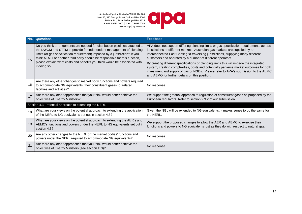Australian Pipeline Limited ACN 091 344 704 Level 25, 580 George Street, Sydney NSW 2000 PO Box R41, Royal Exchange NSW 1225 P: +61 2 9693 0000 | F: +61 2 9693 0093 APA Group | apa.com.au



| No. | <b>Questions</b>                                                                                                                                                                                                                                                                                                                                                                                             | <b>Feedback</b>                                                                                                                                                                                                                                                                                                                                                                                                                                                                                                                                                                                                                                          |
|-----|--------------------------------------------------------------------------------------------------------------------------------------------------------------------------------------------------------------------------------------------------------------------------------------------------------------------------------------------------------------------------------------------------------------|----------------------------------------------------------------------------------------------------------------------------------------------------------------------------------------------------------------------------------------------------------------------------------------------------------------------------------------------------------------------------------------------------------------------------------------------------------------------------------------------------------------------------------------------------------------------------------------------------------------------------------------------------------|
| 15  | Do you think arrangements are needed for distribution pipelines attached to<br>the DWGM and STTM to provide for independent management of blending<br>limits (or gas specification requirement) imposed by a jurisdiction? If you<br>think AEMO or another third party should be responsible for this function,<br>please explain what costs and benefits you think would be associated with<br>it doing so. | APA does not support differing blending limits or gas specification requirements across<br>jurisdictions or different markets. Australian gas markets are supplied by an<br>interconnected East Coast grid traversing jurisdictions, supplying many different<br>customers and operated by a number of different operators.<br>By creating different specifications or blending limits this will impede the integrated<br>system, creating complexities, costs and potentially perverse market outcomes for both<br>investment and supply of gas or NGEs. Please refer to APA's submission to the AEMC<br>and AEMO for further details on this position. |
| 16  | Are there any other changes to market body functions and powers required<br>to accommodate NG equivalents, their constituent gases, or related<br>facilities and activities?                                                                                                                                                                                                                                 | No response                                                                                                                                                                                                                                                                                                                                                                                                                                                                                                                                                                                                                                              |
| 17  | Are there any other approaches that you think would better achieve the<br>objectives of Energy Ministers?                                                                                                                                                                                                                                                                                                    | We support the gradual approach to regulation of constituent gases as proposed by the<br>European regulators. Refer to section 2.3.2 of our submission.                                                                                                                                                                                                                                                                                                                                                                                                                                                                                                  |
|     | Section 4.3: Potential approach to extending the NERL                                                                                                                                                                                                                                                                                                                                                        |                                                                                                                                                                                                                                                                                                                                                                                                                                                                                                                                                                                                                                                          |
| 18  | What are your views on the potential approach to extending the application<br>of the NERL to NG equivalents set out in section 4.3?                                                                                                                                                                                                                                                                          | Given the NGL will be extended to NG equivalents, it makes sense to do the same for<br>the NERL.                                                                                                                                                                                                                                                                                                                                                                                                                                                                                                                                                         |
| 19  | What are your views on the potential approach to extending the AER's and<br>AEMC's functions and powers under the NERL to NG equivalents set out in<br>section 4.3?                                                                                                                                                                                                                                          | We support the proposed changes to allow the AER and AEMC to exercise their<br>functions and powers to NG equivalents just as they do with respect to natural gas.                                                                                                                                                                                                                                                                                                                                                                                                                                                                                       |
| 20  | Are any other changes to the NERL or the market bodies' functions and<br>powers under the NERL required to accommodate NG equivalents?                                                                                                                                                                                                                                                                       | No response                                                                                                                                                                                                                                                                                                                                                                                                                                                                                                                                                                                                                                              |
| 21  | Are there any other approaches that you think would better achieve the<br>objectives of Energy Ministers (see section E.3)?                                                                                                                                                                                                                                                                                  | No response                                                                                                                                                                                                                                                                                                                                                                                                                                                                                                                                                                                                                                              |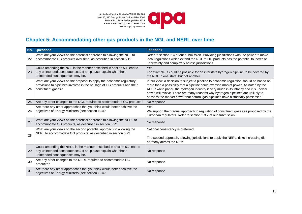IO Australian Pipeline Limited ACN 091 344 704  $\bullet$ Level 25, 580 George Street, Sydney NSW 2000 PO Box R41, Royal Exchange NSW 1225 P: +61 2 9693 0000 | F: +61 2 9693 0093 APA Group | apa.com.au

# **Chapter 5: Accommodating other gas products in the NGL and NERL over time**

| No. | <b>Questions</b>                                                                                                                                                           | <b>Feedback</b>                                                                                                                                                                                                                                                                                                                                                                                                                                   |
|-----|----------------------------------------------------------------------------------------------------------------------------------------------------------------------------|---------------------------------------------------------------------------------------------------------------------------------------------------------------------------------------------------------------------------------------------------------------------------------------------------------------------------------------------------------------------------------------------------------------------------------------------------|
| 22  | What are your views on the potential approach to allowing the NGL to<br>accommodate OG products over time, as described in section 5.1?                                    | Refer to section 2.4 of our submission. Providing jurisdictions with the power to make<br>local regulations which extend the NGL to OG products has the potential to increase<br>uncertainty and complexity across jurisdictions.                                                                                                                                                                                                                 |
| 23  | Could amending the NGL in the manner described in section 5.1 lead to<br>any unintended consequences? If so, please explain what those<br>unintended consequences may be.  | Yes.<br>For example, it could be possible for an interstate hydrogen pipeline to be covered by<br>the NGL in one state, but not another.                                                                                                                                                                                                                                                                                                          |
| 24  | What are your views on the proposal to apply the economic regulatory<br>provisions to pipelines involved in the haulage of OG products and their<br>constituent gases?     | In our view, a decision to subject a pipeline to economic regulation should be based on<br>more than a possibility that a pipeline could exercise market power. As noted by the<br>ACER white paper, the hydrogen industry is very much in its infancy and it is unclear<br>how it will evolve. There are many reasons why hydrogen pipelines are unlikely to<br>possess the market power that natural gas pipelines have historically possessed. |
| 25  | Are any other changes to the NGL required to accommodate OG products?                                                                                                      | No response.                                                                                                                                                                                                                                                                                                                                                                                                                                      |
| 26  | Are there any other approaches that you think would better achieve the<br>objectives of Energy Ministers (see section E.3)?                                                | Yes.<br>We support the gradual approach to regulation of constituent gases as proposed by the<br>European regulators. Refer to section 2.3.2 of our submission.                                                                                                                                                                                                                                                                                   |
| 27  | What are your views on the potential approach to allowing the NERL to<br>accommodate OG products, as described in section 5.2?                                             | No response                                                                                                                                                                                                                                                                                                                                                                                                                                       |
| 28  | What are your views on the second potential approach to allowing the<br>NERL to accommodate OG products, as described in section 5.2?                                      | National consistency is preferred.<br>The second approach, allowing jurisdictions to apply the NERL, risks increasing dis-<br>harmony across the NEM.                                                                                                                                                                                                                                                                                             |
| 29  | Could amending the NERL in the manner described in section 5.2 lead to<br>any unintended consequences? If so, please explain what those<br>unintended consequences may be. | No response                                                                                                                                                                                                                                                                                                                                                                                                                                       |
| 30  | Are any other changes to the NERL required to accommodate OG<br>products?                                                                                                  | No response                                                                                                                                                                                                                                                                                                                                                                                                                                       |
| 31  | Are there any other approaches that you think would better achieve the<br>objectives of Energy Ministers (see section E.3)?                                                | No response                                                                                                                                                                                                                                                                                                                                                                                                                                       |